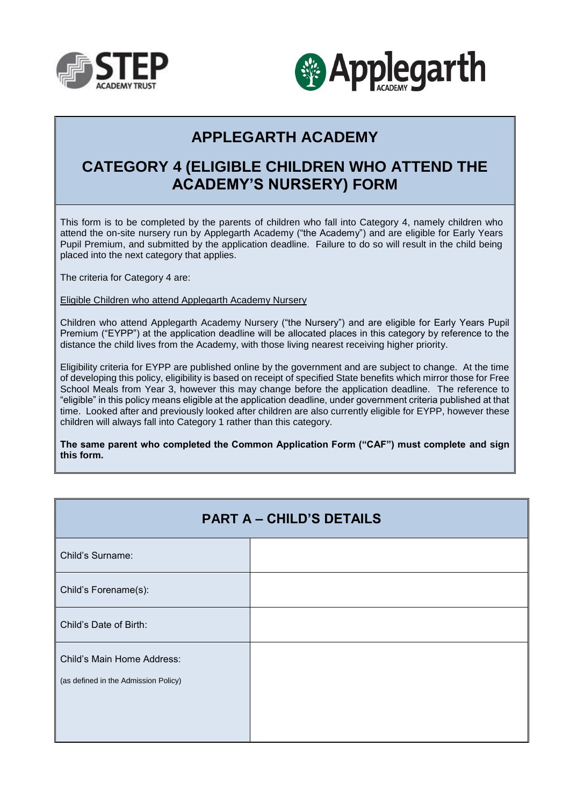



## **APPLEGARTH ACADEMY**

## **CATEGORY 4 (ELIGIBLE CHILDREN WHO ATTEND THE ACADEMY'S NURSERY) FORM**

This form is to be completed by the parents of children who fall into Category 4, namely children who attend the on-site nursery run by Applegarth Academy ("the Academy") and are eligible for Early Years Pupil Premium, and submitted by the application deadline. Failure to do so will result in the child being placed into the next category that applies.

The criteria for Category 4 are:

Eligible Children who attend Applegarth Academy Nursery

Children who attend Applegarth Academy Nursery ("the Nursery") and are eligible for Early Years Pupil Premium ("EYPP") at the application deadline will be allocated places in this category by reference to the distance the child lives from the Academy, with those living nearest receiving higher priority.

Eligibility criteria for EYPP are published online by the government and are subject to change. At the time of developing this policy, eligibility is based on receipt of specified State benefits which mirror those for Free School Meals from Year 3, however this may change before the application deadline. The reference to "eligible" in this policy means eligible at the application deadline, under government criteria published at that time. Looked after and previously looked after children are also currently eligible for EYPP, however these children will always fall into Category 1 rather than this category.

**The same parent who completed the Common Application Form ("CAF") must complete and sign this form.**

| <b>PART A - CHILD'S DETAILS</b>                                    |  |  |
|--------------------------------------------------------------------|--|--|
| Child's Surname:                                                   |  |  |
| Child's Forename(s):                                               |  |  |
| Child's Date of Birth:                                             |  |  |
| Child's Main Home Address:<br>(as defined in the Admission Policy) |  |  |